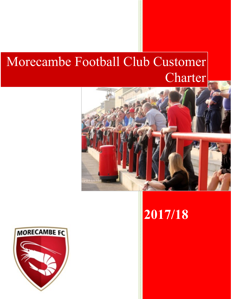# Morecambe Football Club Customer Charter





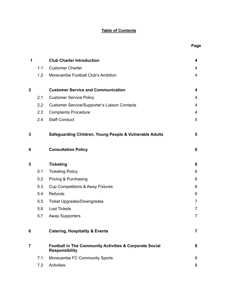## **Table of Contents**

| 1                |     | <b>Club Charter Introduction</b>                                                            | 4              |
|------------------|-----|---------------------------------------------------------------------------------------------|----------------|
|                  | 1.1 | <b>Customer Charter</b>                                                                     | 4              |
|                  | 1.2 | Morecambe Football Club's Ambition                                                          | 4              |
| $\boldsymbol{2}$ |     | <b>Customer Service and Communication</b>                                                   | 4              |
|                  | 2.1 | <b>Customer Service Policy</b>                                                              | 4              |
|                  | 2.2 | <b>Customer Service/Supporter's Liaison Contacts</b>                                        | 4              |
|                  | 2.3 | <b>Complaints Procedure</b>                                                                 | $\overline{4}$ |
|                  | 2.4 | <b>Staff Conduct</b>                                                                        | 5              |
| 3                |     | Safeguarding Children, Young People & Vulnerable Adults                                     | 5              |
| 4                |     | <b>Consultation Policy</b>                                                                  | 6              |
| 5                |     | <b>Ticketing</b>                                                                            | 6              |
|                  | 5.1 | <b>Ticketing Policy</b>                                                                     | 6              |
|                  | 5.2 | Pricing & Purchasing                                                                        | 6              |
|                  | 5.3 | <b>Cup Competitions &amp; Away Fixtures</b>                                                 | 6              |
|                  | 5.4 | Refunds                                                                                     | 6              |
|                  | 5.5 | <b>Ticket Upgrades/Downgrades</b>                                                           | $\overline{7}$ |
|                  | 5.6 | <b>Lost Tickets</b>                                                                         | $\overline{7}$ |
|                  | 5.7 | <b>Away Supporters</b>                                                                      | $\overline{7}$ |
| 6                |     | <b>Catering, Hospitality &amp; Events</b>                                                   | $\overline{7}$ |
| $\overline{7}$   |     | <b>Football in The Community Activities &amp; Corporate Social</b><br><b>Responsibility</b> | 8              |
|                  | 7.1 | Morecambe FC Community Sports                                                               | 8              |
|                  | 7.2 | Activities                                                                                  | 8              |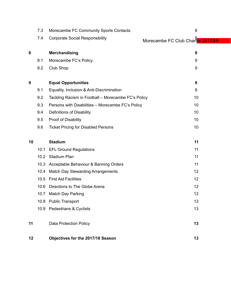|    | 7.3  | Morecambe FC Community Sports Contacts              | 8                                 |
|----|------|-----------------------------------------------------|-----------------------------------|
|    | 7.4  | <b>Corporate Social Responsibility</b>              | Morecambe FC Club Charter 2017/38 |
|    |      |                                                     |                                   |
| 8  |      | <b>Merchandising</b>                                | 9                                 |
|    | 8.1  | Morecambe FC's Policy                               | 9                                 |
|    | 8.2  | <b>Club Shop</b>                                    | 9                                 |
| 9  |      | <b>Equal Opportunities</b>                          | 9                                 |
|    | 9.1  | Equality, Inclusion & Anti-Discrimination           | 9                                 |
|    | 9.2  | Tackling Racism in Football - Morecambe FC's Policy | 10                                |
|    | 9.3  | Persons with Disabilities - Morecambe FC's Policy   | 10                                |
|    | 9.4  | Definitions of Disability                           | 10                                |
|    | 9.5  | Proof of Disability                                 | 10                                |
|    | 9.6  | <b>Ticket Pricing for Disabled Persons</b>          | 10                                |
|    |      |                                                     |                                   |
| 10 |      | <b>Stadium</b>                                      | 11                                |
|    | 10.1 | <b>EFL Ground Regulations</b>                       | 11                                |
|    | 10.2 | <b>Stadium Plan</b>                                 | 11                                |
|    | 10.3 | Acceptable Behaviour & Banning Orders               | 11                                |
|    | 10.4 | <b>Match Day Stewarding Arrangements</b>            | 12                                |
|    | 10.5 | <b>First Aid Facilities</b>                         | 12                                |
|    | 10.6 | Directions to The Globe Arena                       | 12                                |
|    |      | 10.7 Match Day Parking                              | 12                                |
|    |      | 10.8 Public Transport                               | 12                                |
|    |      | 10.9 Pedestrians & Cyclists                         | 13                                |
| 11 |      | Data Protection Policy                              | 13                                |
| 12 |      | Objectives for the 2017/18 Season                   | 13                                |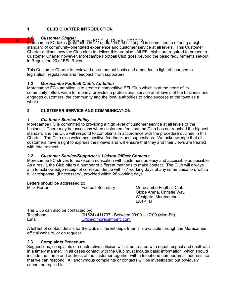### **1. CLUB CHARTER INTRODUCTION**

# 1.1 Customer Charter<br>Morecambe FC takes MBS GRID<del>S</del> FC Club Charter 2017/18

Morecambe FC takes great pride in its reputation and history. If is committed to offering a high standard of community-orientated experience and customer service at all levels. This Customer Charter outlines how the Club aims to deliver this promise. All EFL clubs are required to present a Customer Charter however, Morecambe Football Club goes beyond the basic requirements set-out in Regulation 20 of EFL Rules.

This Customer Charter is reviewed on an annual basis and amended in light of changes to legislation, regulations and feedback from supporters.

#### *1.2 Morecambe Football Club's Ambition*

Morecambe FC's ambition is to create a competitive EFL Club which is at the heart of its community; offers value for money; provides a professional service at all levels of the business and engages customers, the community and the local authorities to bring success to the town as a whole.

#### **2 CUSTOMER SERVICE AND COMMUNICATION**

#### *1. Customer Service Policy*

Morecambe FC is committed to providing a high level of customer service at all levels of the business. There may be occasions when customers feel that the Club has not reached the highest standard and the Club will respond to complaints in accordance with the procedure outlined in this Charter. The Club also welcomes positive feedback and suggestions. We acknowledge that all customers have a right to express their views and will ensure that they and their views are treated with total respect.

#### *2.2 Customer Service/Supporter's Liaison Officer Contacts*

Morecambe FC strives to make communication with customers as easy and accessible as possible. As a result, the Club offers a number of different methods to make contact. The Club will always aim to acknowledge receipt of correspondence within 7 working days of any communication, with a fuller response, (if necessary), provided within 28 working days.

Letters should be addressed to: Mick Horton **Football Secretary** Morecambe Football Club

Globe Arena, Christie Way, Westgate, Morecambe. LA4 4TB

| The Club can also be contacted by: |                                                  |  |  |  |  |  |
|------------------------------------|--------------------------------------------------|--|--|--|--|--|
| Telephone:                         | (01524) 411797 - Between 09:00 - 17:00 (Mon-Fri) |  |  |  |  |  |
| Email:                             | Office@morecambefc.com                           |  |  |  |  |  |

A full list of contact details for the club's different departments is available through the Morecambe official website, or on request.

#### **2.3 Complaints Procedure**

Suggestions, complaints or constructive criticism will all be treated with equal respect and dealt with in a timely manner. In all cases contact with the Club must include basic information, which should include the name and address of the customer together with a telephone number/email address, so that we can respond. All anonymous complaints or contacts will be investigated but obviously cannot be replied to.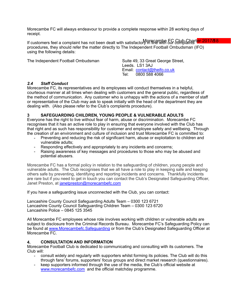Morecambe FC will always endeavour to provide a complete response within 28 working days of receipt.

If customers feel a complaint has not been dealt with satisfactory in fine with 5ur complaints t<mark>er 2017/88</mark> procedures, they should refer the matter directly to The Independent Football Ombudsman (IFO) using the following details:

The Independent Football Ombudsman Suite 49, 33 Great George Street,

Leeds. LS1 3AJ Email: [contact@theifo.co.uk](mailto:contact@theifo.co.uk) Tel: 0800 588 4066

#### *2.4 Staff Conduct*

Morecambe FC, its representatives and its employees will conduct themselves in a helpful, courteous manner at all times when dealing with customers and the general public, regardless of the method of communication. Any customer who is unhappy with the actions of a member of staff or representative of the Club may ask to speak initially with the head of the department they are dealing with. (Also please refer to the Club's complaints procedure).

#### **3 SAFEGUARDING CHILDREN, YOUNG PEOPLE & VULNERABLE ADULTS**

Everyone has the right to live without fear of harm, abuse or discrimination. Morecambe FC recognises that it has an active role to play in ensuring that everyone involved with the Club has that right and as such has responsibility for customer and employee safety and wellbeing. Through the creation of an environment and culture of inclusion and trust Morecambe FC is committed to:

- Preventing and reducing the risk of significant harm, abuse or exploitation to children and vulnerable adults;
- Responding effectively and appropriately to any incidents and concerns;
- Raising awareness of key messages and procedures to those who may be abused and potential abusers.

Morecambe FC has a formal policy in relation to the safeguarding of children, young people and vulnerable adults. The Club recognises that we all have a role to play in keeping safe and keeping others safe by preventing, identifying and reporting incidents and concerns. Thankfully incidents are rare but if you need to get in touch you can contact the Club's Designated Safeguarding Officer, Janet Preston, at [janetpreston@morecambefc.com](mailto:janetpreston@morecambefc.com)

If you have a safeguarding issue unconnected with the Club, you can contact:

Lancashire County Council Safeguarding Adults Team – 0300 123 6721 Lancashire County Council Safeguarding Children Team – 0300 123 6720 Lancashire Police – 0845 125 3545

All Morecambe FC employees whose role involves working with children or vulnerable adults are subject to disclosure from the Criminal Records Bureau. Morecambe FC's Safeguarding Policy can be found at [www.Morecambefc.Safeguarding](http://www.Morecambefc.Safeguarding) or from the Club's Designated Safeguarding Officer at Morecambe<sub>FC.</sub>

### **4. CONSULTATION AND INFORMATION**

Morecambe Football Club is dedicated to communicating and consulting with its customers. The Club will:

- consult widely and regularly with supporters whilst forming its policies. The Club will do this through fans' forums, supporters' focus groups and direct market research (questionnaires).
- keep supporters informed through the use of the media, the Club's official website at [www.morecambefc.com](http://www.morecambefc.com) and the official matchday programme.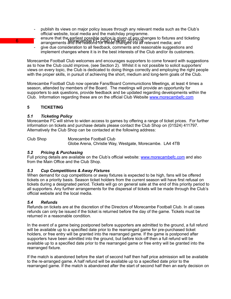- publish its views on major policy issues through any relevant media such as the Club's official website, local media and the matchday programme.
- $\overline{6}$  More that the earliest possible notice is given of any changes to fixtures and ticketing experience in any changes of the experience of the experience of the experience of the experience of the experience of the arrangements and the reasons for these changes via all relevant media; and
	- give due consideration to all feedback, comments and reasonable suggestions and implement changes where it is in the best interests of the Club and/or its customers.

Morecambe Football Club welcomes and encourages supporters to come forward with suggestions as to how the Club could improve, (see Section 2). Whilst it is not possible to solicit supporters' views on every topic, the Club is dedicated to doing things correctly and employing the right people with the proper skills, in pursuit of achieving the short, medium and long-term goals of the Club.

Morecambe Football Club now operate Fans/Board Communictions Meetings, at least 4 times a season, attended by members of the Board. The meetings will provide an opportunity for supporters to ask questions, provide feedback and be updated regarding developments within the Club. Information regarding these are on the official Club Website [www.morecambefc.com](http://www.morecambefc.com)

#### **5 TICKETING**

#### *5.1 Ticketing Policy*

Morecambe FC will strive to widen access to games by offering a range of ticket prices. For further information on tickets and purchase details please contact the Club Shop on (01524) 411797. Alternatively the Club Shop can be contacted at the following address:

Club Shop Morecambe Football Club Globe Arena, Christie Way, Westgate, Morecambe. LA4 4TB

#### *5.2 Pricing & Purchasing*

Full pricing details are available on the Club's official website: [www.morecambefc.com](http://www.morecambefc.com/) and also from the Main Office and the Club Shop.

#### *5.3 Cup Competitions & Away Fixtures*

When demand for cup competitions or away fixtures is expected to be high, fans will be offered tickets on a priority basis. Season ticket holders from the current season will have first refusal on tickets during a designated period. Tickets will go on general sale at the end of this priority period to all supporters. Any further arrangements for the dispersal of tickets will be made through the Club's official website and the local media.

#### *5.4 Refunds*

Refunds on tickets are at the discretion of the Directors of Morecambe Football Club. In all cases refunds can only be issued if the ticket is returned before the day of the game. Tickets must be returned in a reasonable condition.

In the event of a game being postponed before supporters are admitted to the ground, a full refund will be available up to a specified date prior to the rearranged game for pre-purchased ticket holders, or free entry will be granted into the rearranged game. If the game is postponed after supporters have been admitted into the ground, but before kick-off then a full refund will be available up to a specified date prior to the rearranged game or free entry will be granted into the rearranged fixture.

If the match is abandoned before the start of second half then half price admission will be available to the re-arranged game. A half refund will be available up to a specified date prior to the rearranged game. If the match is abandoned after the start of second half then an early decision on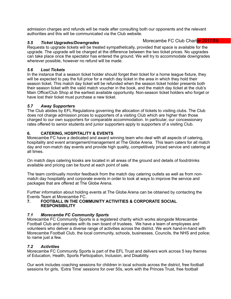admission charges and refunds will be made after consulting both our opponents and the relevant authorities and this will be communicated via the Club website.

#### *5.5 Ticket Upgrades/Downgrades*

Morecambe FC Club Charter 2017/18

Requests to upgrade tickets will be treated sympathetically, provided that space is available for the upgrade. The upgrade will be charged at the difference between the two ticket prices. No upgrades can take place once the spectator has entered the ground. We will try to accommodate downgrades wherever possible, however no refund will be made.

#### *5.6 Lost Tickets*

In the instance that a season ticket holder should forget their ticket for a home league fixture, they will be expected to pay the full price for a match day ticket in the area in which they hold their season ticket. This match day ticket will be refunded when the season ticket holder presents both their season ticket with the valid match voucher in the book, and the match day ticket at the club's Main Office/Club Shop at the earliest available opportunity. Non-season ticket holders who forget or have lost their ticket must purchase a new ticket.

#### *5.7 Away Supporters*

The Club abides by EFL Regulations governing the allocation of tickets to visiting clubs. The Club does not charge admission prices to supporters of a visiting Club which are higher than those charged to our own supporters for comparable accommodation. In particular, our concessionary rates offered to senior students and junior supporters apply to supporters of a visiting Club.

#### **6. CATERING, HOSPITALITY & EVENTS**

Morecambe FC have a dedicated and award winning team who deal with all aspects of catering, hospitality and event arrangement/management at The Globe Arena. This team caters for all match day and non-match day events and provide high quality, competitively priced service and catering at all times.

On match days catering kiosks are located in all areas of the ground and details of food/drinks available and pricing can be found at each point of sale.

The team continually monitor feedback from the match day catering outlets as well as from nonmatch day hospitality and corporate events in order to look at ways to improve the service and packages that are offered at The Globe Arena.

Further information about holding events at The Globe Arena can be obtained by contacting the Events Team at Morecambe FC.

#### **7. FOOTBALL IN THE COMMUNITY ACTIVITIES & CORPORATE SOCIAL RESPONSIBILITY**

#### *7.1 Morecambe FC Community Sports*

Morecambe FC Community Sports is a registered charity which works alongside Morecambe Football Club and operates with its own board of trustees. We have a team of employees and volunteers who deliver a diverse range of activities across the district. We work hand-in-hand with Morecambe Football Club, the local community, schools, businesses, Councils, the NHS and police; to name just a few.

#### *7.2 Activities*

Morecambe FC Community Sports is part of the EFL Trust and delivers work across 5 key themes of Education, Health, Sports Participation, Inclusion, and Disability.

Our work includes coaching sessions for children in local schools across the district, free football sessions for girls, 'Extra Time' sessions for over 50s, work with the Princes Trust, free football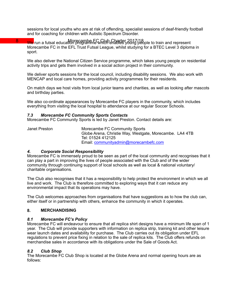sessions for local youths who are at risk of offending, specialist sessions of deaf-friendly football and for coaching for children with Autistic Spectrum Disorder.

8 More run a futsal education programme which enables young people to train and represent Morecambe FC in the EFL Trust Futsal League, whilst studying for a BTEC Level 3 diploma in sport.

We also deliver the National Citizen Service programme, which takes young people on residential activity trips and gets them involved in a social action project in their community.

We deliver sports sessions for the local council, including disability sessions. We also work with MENCAP and local care homes, providing activity programmes for their residents.

On match days we host visits from local junior teams and charities, as well as looking after mascots and birthday parties.

We also co-ordinate appearances by Morecambe FC players in the community, which includes everything from visiting the local hospital to attendance at our regular Soccer Schools.

#### *7.3 Morecambe FC Community Sports Contacts*

Morecambe FC Community Sports is led by Janet Preston. Contact details are:

Janet Preston Morecambe FC Community Sports Globe Arena, Christie Way, Westgate, Morecambe. LA4 4TB Tel: 01524 412125 Email: [communityadmin@morecambefc.com](mailto:communityadmin@morecambefc.com)

#### *4. Corporate Social Responsibility*

Morecambe FC is immensely proud to be seen as part of the local community and recognises that it can play a part in improving the lives of people associated with the Club and of the wider community through continuing support of local schools as well as local & national voluntary/ charitable organisations.

The Club also recognises that it has a responsibility to help protect the environment in which we all live and work. The Club is therefore committed to exploring ways that it can reduce any environmental impact that its operations may have.

The Club welcomes approaches from organisations that have suggestions as to how the club can, either itself or in partnership with others, enhance the community in which it operates.

#### **8. MERCHANDISING**

#### *8.1 Morecambe FC's Policy*

Morecambe FC will endeavour to ensure that all replica shirt designs have a minimum life span of 1 year. The Club will provide supporters with information on replica strip, training kit and other leisure wear launch dates and availability for purchase. The Club carries out its obligation under EFL regulations to prevent price fixing in relation to the sale of replica kits. The Club offers refunds on merchandise sales in accordance with its obligations under the Sale of Goods Act.

#### *8.2 Club Shop*

The Morecambe FC Club Shop is located at the Globe Arena and normal opening hours are as follows: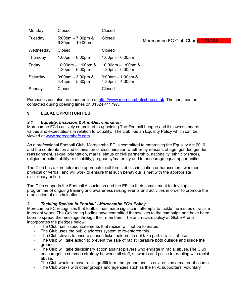| Monday    | Closed                                                    | Closed                                                      |                                   |
|-----------|-----------------------------------------------------------|-------------------------------------------------------------|-----------------------------------|
| Tuesday   | 5:00pm $-7:00$ pm &<br>$9:30 \text{pm} - 10:00 \text{pm}$ | Closed                                                      | Morecambe FC Club Charter 2017/88 |
| Wednesday | Closed                                                    | Closed                                                      |                                   |
| Thursday  | $1:00 \text{pm} - 6:00 \text{pm}$                         | $1:00 \text{pm} - 6:00 \text{pm}$                           |                                   |
| Friday    | 10:00am $-$ 1:00pm &<br>$1:30 \text{pm} - 6:00 \text{pm}$ | 10:00am $-$ 1:00pm &<br>$1:30 \text{pm} - 6:00 \text{pm}$   |                                   |
| Saturday  | $9:00$ am $-3:00$ pm &<br>$4:45$ pm $-5:30$ pm            | $9:00$ am $-1:00$ pm &<br>$1:30 \text{pm} - 4:30 \text{pm}$ |                                   |
| Sunday    | Closed                                                    | Closed                                                      |                                   |

Purchases can also be made online at <http://www.morecambefcshop.co.uk> The shop can be contacted during opening times on 01524 411797.

#### **9 EQUAL OPPORTUNITIES**

#### *9.1 Equality, Inclusion & Anti-Discrimination*

Morecambe FC is actively committed to upholding The Football League and it's own standards, values and expectations in relation to Equality. The club has an Equality Policy which can be viewed at [www.morecambefc.com](http://www.morecambefc.com).

As a professional Football Club, Morecambe FC is committed to embracing the Equality Act 2010 and the confrontation and elimination of discrimination whether by reasons of age, gender, gender reassignment, sexual orientation, marital status or civil partnership, nationality, ethnicity (race), religion or belief, ability or disability, pregnancy/maternity and to encourage equal opportunities.

The Club has a zero tolerance approach to all forms of discrimination or harassment, whether physical or verbal, and will work to ensure that such behaviour is met with the appropriate disciplinary action.

The Club supports the Football Association and the EFL in their commitment to develop a programme of ongoing training and awareness raising events and activities in order to promote the eradication of discrimination.

#### *2. Tackling Racism in Football - Morecambe FC's Policy*

Morecambe FC recognises that football has made significant attempts to tackle the issues of racism in recent years. The Governing bodies have committed themselves to the campaign and have been keen to spread the message through their members. The anti-racism policy at Globe Arena incorporates the pledges below:

- The Club has issued statements that racism will not be tolerated.
- The Club uses the public address system to re-enforce this.<br>- The Club strives to ensure season ticket holders do not take
- The Club strives to ensure season ticket holders do not take part in racist abuse.
- The Club will take action to prevent the sale of racist literature both outside and inside the ground.
- The Club will take disciplinary action against players who engage in racial abuse.The Club encourages a common strategy between all staff, stewards and police for dealing with racial abuse.
- The Club would remove racist graffiti form the ground and its environs as a matter of course.
- The Club works with other groups and agencies such as the PFA, supporters, voluntary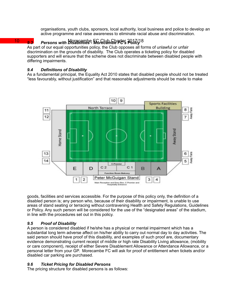organisations, youth clubs, sponsors, local authority, local business and police to develop an active programme and raise awareness to eliminate racial abuse and discrimination.

 $9.3$ 

## 10 9.3 Persons with Disabilities Morecambe FCs 2017/18

As part of our equal opportunities policy, the Club opposes all forms of unlawful or unfair discrimination on the grounds of disability. The Club operates a ticketing policy for disabled supporters and will ensure that the scheme does not discriminate between disabled people with differing impairments.

#### *9.4 Definitions of Disability*

As a fundamental principal, the Equality Act 2010 states that disabled people should not be treated "less favourably, without justification" and that reasonable adjustments should be made to make



goods, facilities and services accessible. For the purpose of this policy only, the definition of a disabled person is; any person who, because of their disability or impairment, is unable to use areas of stand seating or terracing without contravening Health and Safety Regulations, Guidelines or Policy. Any such person will be considered for the use of the "designated areas" of the stadium, in line with the procedures set out in this policy.

#### *9.5 Proof of Disability*

A person is considered disabled if he/she has a physical or mental impairment which has a substantial long term adverse affect on his/her ability to carry out normal day to day activities. The said person should have proof of this disability, and examples of such proof are, documentary evidence demonstrating current receipt of middle or high rate Disability Living allowance, (mobility or care component), receipt of either Severe Disablement Allowance or Attendance Allowance, or a personal letter from your GP. Morecambe FC will ask for proof of entitlement when tickets and/or disabled car parking are purchased.

#### *9.6 Ticket Pricing for Disabled Persons*

The pricing structure for disabled persons is as follows: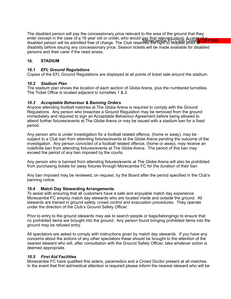enter (except in the case of a 16 year old or under, who would pay that relevant price). A carer of d<br>disabled person will be admitted free of charge. The Club reserved Redippers borded Charler<sup>o 20</sup>17118 The disabled person will pay the concessionary price relevant to the area of the ground that they disabled person will be admitted free of charge. The Club reserves the right to request proof of disability before issuing any concessionary price. Season tickets will be made available for disabled persons and their carer if the need arises.

#### **10. STADIUM**

#### *10.1 EFL Ground Regulations*

Copies of the EFL Ground Regulations are displayed at all points of ticket sale around the stadium.

#### *10.2 Stadium Plan*

The stadium plan shows the location of each section of Globe Arena, plus the numbered turnstiles. The Ticket Office is located adjacent to turnstiles 1 & 2.

#### *10.3 Acceptable Behaviour & Banning Orders*

Anyone attending football matches at The Globe Arena is required to comply with the Ground Regulations. Any person who breaches a Ground Regulation may be removed from the ground immediately and required to sign an Acceptable Behaviour Agreement before being allowed to attend further fixtures/events at The Globe Arena or may be issued with a stadium ban for a fixed period.

Any person who is under investigation for a football related offence, (home or away), may be subject to a Club ban from attending fixtures/events at the Globe Arena pending the outcome of the investigation. Any person convicted of a football related offence, (home or away), may receive an indefinite ban from attending fixtures/events at The Globe Arena. The period of this ban may exceed the period of any ban imposed by the courts.

Any person who is banned from attending fixtures/events at The Globe Arena will also be prohibited from purchasing tickets for away fixtures through Morecambe FC for the duration of their ban.

Any ban imposed may be reviewed, on request, by the Board after the period specified in the Club's banning notice.

#### **10.4 Match Day Stewarding Arrangements**

To assist with ensuring that all customers have a safe and enjoyable match day experience Morecambe FC employ match day stewards who are located inside and outside the ground. All stewards are trained in ground safety, crowd control and evacuation procedures. They operate under the direction of the Club's Ground Safety Officer.

Prior to entry to the ground stewards may ask to search people or bags/belongings to ensure that no prohibited items are brought into the ground. Any person found bringing prohibited items into the ground may be refused entry.

All spectators are asked to comply with instructions given by match day stewards. If you have any concerns about the actions of any other spectators these should be brought to the attention of the nearest steward who will, after consultation with the Ground Safety Officer, take whatever action is deemed appropriate.

#### *10.5 First Aid Facilities*

Morecambe FC have qualified first aiders, paramedics and a Crowd Doctor present at all matches. In the event that first aid/medical attention is required please inform the nearest steward who will be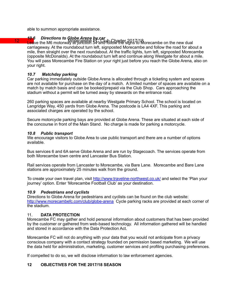able to summon appropriate assistance.

# 12 10.6 Directions to Globe Arena by car<br>12 Moreo the M6 motopys/ <del>OrgCambe & Scylin</del> Charter 2017/18

Leave the M6 motorway at junction 34 and follow the signs to Morecambe on the new dual carriageway. At the roundabout turn left, signposted Morecambe and follow the road for about a mile, then straight over the next roundabout. At the traffic lights, turn left, signposted Morecambe (opposite McDonalds). At the roundabout turn left and continue along Westgate for about a mile. You will pass Morecambe Fire Station on your right just before you reach the Globe Arena, also on your right.

#### *10.7 Matchday parking*

Car parking immediately outside Globe Arena is allocated through a ticketing system and spaces are not available for purchase on the day of a match. A limited number of spaces are available on a match by match basis and can be booked/prepaid via the Club Shop. Cars approaching the stadium without a permit will be turned away by stewards on the entrance road.

260 parking spaces are available at nearby Westgate Primary School. The school is located on Langridge Way, 450 yards from Globe Arena. The postcode is LA4 4XF. This parking and associated charges are operated by the school.

Secure motorcycle parking bays are provided at Globe Arena. These are situated at each side of the concourse in front of the Main Stand. No charge is made for parking a motorcycle.

#### *10.8 Public transport*

We encourage visitors to Globe Area to use public transport and there are a number of options available.

Bus services 6 and 6A serve Globe Arena and are run by Stagecoach. The services operate from both Morecambe town centre and Lancaster Bus Station.

Rail services operate from Lancaster to Morecambe, via Bare Lane. Morecambe and Bare Lane stations are approximately 25 minutes walk from the ground.

To create your own travel plan, visit <http://www.traveline-northwest.co.uk/>and select the 'Plan your journey' option. Enter 'Morecambe Football Club' as your destination.

#### *10.9 Pedestrians and cyclists*

Directions to Globe Arena for pedestrians and cyclists can be found on the club website: [http://www.morecambefc.com/club/globe-arena](http://www.morecambefc.com/club/globe-arena/) Cycle parking racks are provided at each corner of the stadium.

#### 11. **DATA PROTECTION**

Morecambe FC may gather and hold personal information about customers that has been provided by the customer or gathered from web-based technology. All information gathered will be handled and stored in accordance with the Data Protection Act.

Morecambe FC will not do anything with your data that you would not anticipate from a privacy conscious company with a contact strategy founded on permission based marketing. We will use the data held for administration, marketing, customer services and profiling purchasing preferences.

If compelled to do so, we will disclose information to law enforcement agencies.

### **12 OBJECTIVES FOR THE 2017/18 SEASON**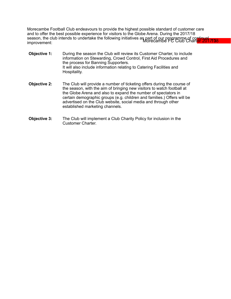season, the club intends to undertake the following initiatives as part of our programme of continual zure.<br>Improvement: Morecambe Football Club endeavours to provide the highest possible standard of customer care and to offer the best possible experience for visitors to the Globe Arena. During the 2017/18 improvement:

- **Objective 1:** During the season the Club will review its Customer Charter, to include information on Stewarding, Crowd Control, First Aid Procedures and the process for Banning Supporters. It will also include information relating to Catering Facilities and Hospitality.
- **Objective 2:** The Club will provide a number of ticketing offers during the course of the season, with the aim of bringing new visitors to watch football at the Globe Arena and also to expand the number of spectators in certain demographic groups (e.g. children and families.) Offers will be advertised on the Club website, social media and through other established marketing channels.
- **Objective 3:** The Club will implement a Club Charity Policy for inclusion in the Customer Charter.